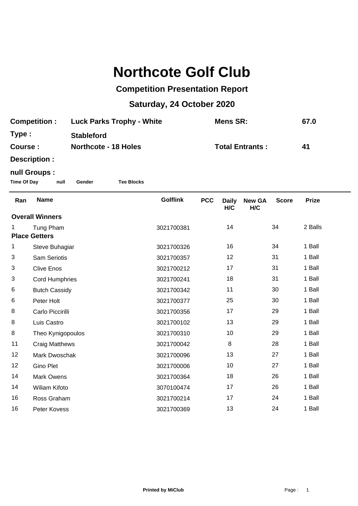# **Northcote Golf Club**

### **Competition Presentation Report**

## **Saturday, 24 October 2020**

| <b>Competition:</b> | <b>Luck Parks Trophy - White</b> | Mens SR:               | 67.0 |
|---------------------|----------------------------------|------------------------|------|
| Type :              | <b>Stableford</b>                |                        |      |
| Course :            | <b>Northcote - 18 Holes</b>      | <b>Total Entrants:</b> | 41   |
| Description :       |                                  |                        |      |

#### **null Groups :**

**Time Of Day null Gender Tee Blocks**

| Ran                    | <b>Name</b>           | <b>Golflink</b> | <b>PCC</b> | <b>Daily</b><br>H/C | <b>New GA</b><br>H/C | <b>Score</b> | <b>Prize</b> |
|------------------------|-----------------------|-----------------|------------|---------------------|----------------------|--------------|--------------|
| <b>Overall Winners</b> |                       |                 |            |                     |                      |              |              |
|                        | Tung Pham             | 3021700381      |            | 14                  |                      | 34           | 2 Balls      |
| <b>Place Getters</b>   |                       |                 |            |                     |                      |              |              |
| 1                      | Steve Buhagiar        | 3021700326      |            | 16                  |                      | 34           | 1 Ball       |
| 3                      | <b>Sam Seriotis</b>   | 3021700357      |            | 12                  |                      | 31           | 1 Ball       |
| 3                      | <b>Clive Enos</b>     | 3021700212      |            | 17                  |                      | 31           | 1 Ball       |
| 3                      | <b>Cord Humphries</b> | 3021700241      |            | 18                  |                      | 31           | 1 Ball       |
| 6                      | <b>Butch Cassidy</b>  | 3021700342      |            | 11                  |                      | 30           | 1 Ball       |
| 6                      | Peter Holt            | 3021700377      |            | 25                  |                      | 30           | 1 Ball       |
| 8                      | Carlo Piccirilli      | 3021700356      |            | 17                  |                      | 29           | 1 Ball       |
| 8                      | Luis Castro           | 3021700102      |            | 13                  |                      | 29           | 1 Ball       |
| 8                      | Theo Kynigopoulos     | 3021700310      |            | 10                  |                      | 29           | 1 Ball       |
| 11                     | <b>Craig Matthews</b> | 3021700042      |            | 8                   |                      | 28           | 1 Ball       |
| 12                     | Mark Dwoschak         | 3021700096      |            | 13                  |                      | 27           | 1 Ball       |
| 12                     | <b>Gino Plet</b>      | 3021700006      |            | 10                  |                      | 27           | 1 Ball       |
| 14                     | <b>Mark Owens</b>     | 3021700364      |            | 18                  |                      | 26           | 1 Ball       |
| 14                     | <b>Wiliam Kifoto</b>  | 3070100474      |            | 17                  |                      | 26           | 1 Ball       |
| 16                     | Ross Graham           | 3021700214      |            | 17                  |                      | 24           | 1 Ball       |
| 16                     | Peter Kovess          | 3021700369      |            | 13                  |                      | 24           | 1 Ball       |